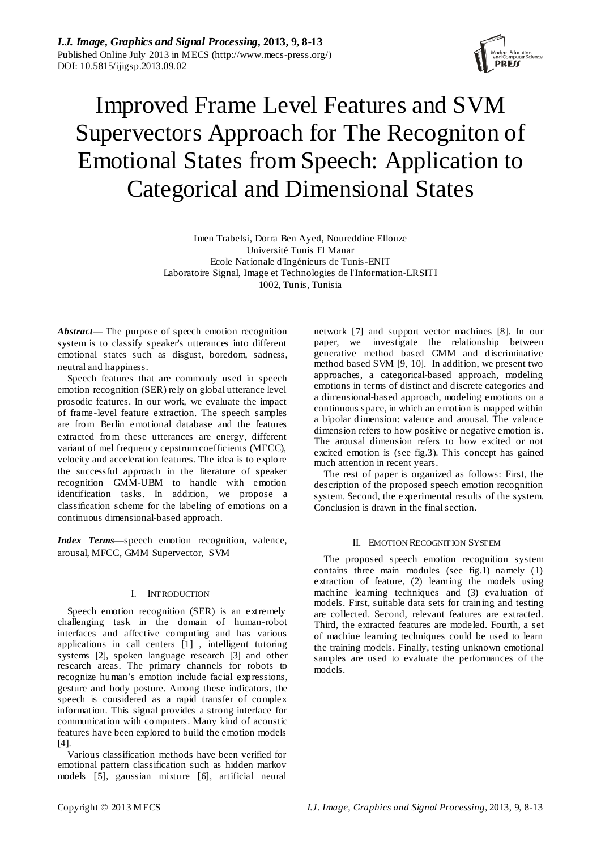

# Improved Frame Level Features and SVM Supervectors Approach for The Recogniton of Emotional States from Speech: Application to Categorical and Dimensional States

Imen Trabelsi, Dorra Ben Ayed, Noureddine Ellouze Université Tunis El Manar Ecole Nationale d'Ingénieurs de Tunis-ENIT Laboratoire Signal, Image et Technologies de l'Information-LRSITI 1002, Tunis, Tunisia

*Abstract*— The purpose of speech emotion recognition system is to classify speaker's utterances into different emotional states such as disgust, boredom, sadness, neutral and happiness.

Speech features that are commonly used in speech emotion recognition (SER) rely on global utterance level prosodic features. In our work, we evaluate the impact of frame-level feature extraction. The speech samples are from Berlin emotional database and the features extracted from these utterances are energy, different variant of mel frequency cepstrum coefficients (MFCC), velocity and acceleration features. The idea is to explore the successful approach in the literature of speaker recognition GMM-UBM to handle with emotion identification tasks. In addition, we propose a classification scheme for the labeling of emotions on a continuous dimensional-based approach.

*Index Terms—*speech emotion recognition, valence, arousal, MFCC, GMM Supervector, SVM

## I. INTRODUCTION

Speech emotion recognition (SER) is an extremely challenging task in the domain of human-robot interfaces and affective computing and has various applications in call centers [1] , intelligent tutoring systems [2], spoken language research [3] and other research areas. The primary channels for robots to recognize human's emotion include facial expressions, gesture and body posture. Among these indicators, the speech is considered as a rapid transfer of complex information. This signal provides a strong interface for communication with computers. Many kind of acoustic features have been explored to build the emotion models [4].

Various classification methods have been verified for emotional pattern classification such as hidden markov models [5], gaussian mixture [6], artificial neural network [7] and support vector machines [8]. In our paper, we investigate the relationship between generative method based GMM and discriminative method based SVM [9, 10]. In addition, we present two approaches, a categorical-based approach, modeling emotions in terms of distinct and discrete categories and a dimensional-based approach, modeling emotions on a continuous space, in which an emotion is mapped within a bipolar dimension: valence and arousal. The valence dimension refers to how positive or negative emotion is. The arousal dimension refers to how excited or not excited emotion is (see fig.3). This concept has gained much attention in recent years.

The rest of paper is organized as follows: First, the description of the proposed speech emotion recognition system. Second, the experimental results of the system. Conclusion is drawn in the final section.

## II. EMOTION RECOGNITION SYSTEM

The proposed speech emotion recognition system contains three main modules (see fig.1) namely (1) extraction of feature, (2) learning the models using machine learning techniques and (3) evaluation of models. First, suitable data sets for training and testing are collected. Second, relevant features are extracted. Third, the extracted features are modeled. Fourth, a set of machine learning techniques could be used to learn the training models. Finally, testing unknown emotional samples are used to evaluate the performances of the models.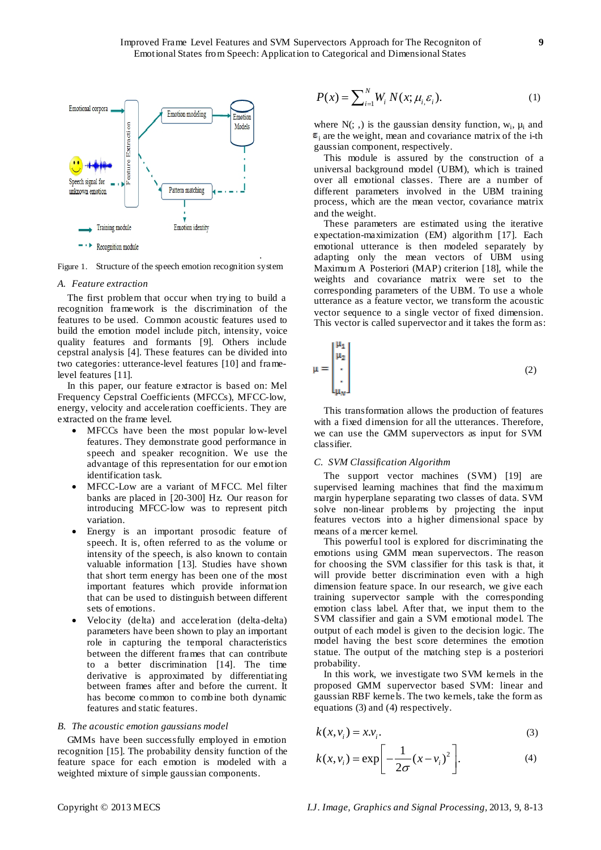

Figure 1. Structure of the speech emotion recognition system

#### *A. Feature extraction*

The first problem that occur when trying to build a recognition framework is the discrimination of the features to be used. Common acoustic features used to build the emotion model include pitch, intensity, voice quality features and formants [9]. Others include cepstral analysis [4]. These features can be divided into two categories: utterance-level features [10] and framelevel features [11].

In this paper, our feature extractor is based on: Mel Frequency Cepstral Coefficients (MFCCs), MFCC-low, energy, velocity and acceleration coefficients. They are extracted on the frame level.

- MFCCs have been the most popular low-level features. They demonstrate good performance in speech and speaker recognition. We use the advantage of this representation for our emotion identification task.
- MFCC-Low are a variant of MFCC. Mel filter banks are placed in [20-300] Hz. Our reason for introducing MFCC-low was to represent pitch variation.
- Energy is an important prosodic feature of speech. It is, often referred to as the volume or intensity of the speech, is also known to contain valuable information [13]. Studies have shown that short term energy has been one of the most important features which provide information that can be used to distinguish between different sets of emotions.
- Velocity (delta) and acceleration (delta-delta) parameters have been shown to play an important role in capturing the temporal characteristics between the different frames that can contribute to a better discrimination [14]. The time derivative is approximated by differentiating between frames after and before the current. It has become common to combine both dynamic features and static features.

#### *B. The acoustic emotion gaussians model*

GMMs have been successfully employed in emotion recognition [15]. The probability density function of the feature space for each emotion is modeled with a weighted mixture of simple gaussian components.

$$
P(x) = \sum_{i=1}^{N} W_i N(x; \mu_i \varepsilon_i).
$$
 (1)

where  $N($ ;  $)$  is the gaussian density function,  $W_i$ ,  $\mu_i$  and  $\epsilon_i$  are the weight, mean and covariance matrix of the i-th gaussian component, respectively.

This module is assured by the construction of a universal background model (UBM), which is trained over all emotional classes. There are a number of different parameters involved in the UBM training process, which are the mean vector, covariance matrix and the weight.

These parameters are estimated using the iterative expectation-maximization (EM) algorithm [17]. Each emotional utterance is then modeled separately by adapting only the mean vectors of UBM using Maximum A Posteriori (MAP) criterion [18], while the weights and covariance matrix were set to the corresponding parameters of the UBM. To use a whole utterance as a feature vector, we transform the acoustic vector sequence to a single vector of fixed dimension. This vector is called supervector and it takes the form as:

$$
\mu = \begin{bmatrix} \mu_1 \\ \mu_2 \\ \vdots \\ \mu_M \end{bmatrix} \tag{2}
$$

This transformation allows the production of features with a fixed dimension for all the utterances. Therefore, we can use the GMM supervectors as input for SVM classifier.

## *C. SVM Classification Algorithm*

The support vector machines (SVM) [19] are supervised learning machines that find the maximum margin hyperplane separating two classes of data. SVM solve non-linear problems by projecting the input features vectors into a higher dimensional space by means of a mercer kernel.

This powerful tool is explored for discriminating the emotions using GMM mean supervectors. The reason for choosing the SVM classifier for this task is that, it will provide better discrimination even with a high dimension feature space. In our research, we give each training supervector sample with the corresponding emotion class label. After that, we input them to the SVM classifier and gain a SVM emotional model. The output of each model is given to the decision logic. The model having the best score determines the emotion statue. The output of the matching step is a posteriori probability.

In this work, we investigate two SVM kernels in the proposed GMM supervector based SVM: linear and gaussian RBF kernels. The two kernels, take the form as equations (3) and (4) respectively.

$$
k(x, v_i) = x.v_i.
$$
 (3)

$$
k(x, v_i) = \exp\left[-\frac{1}{2\sigma}(x - v_i)^2\right].
$$
 (4)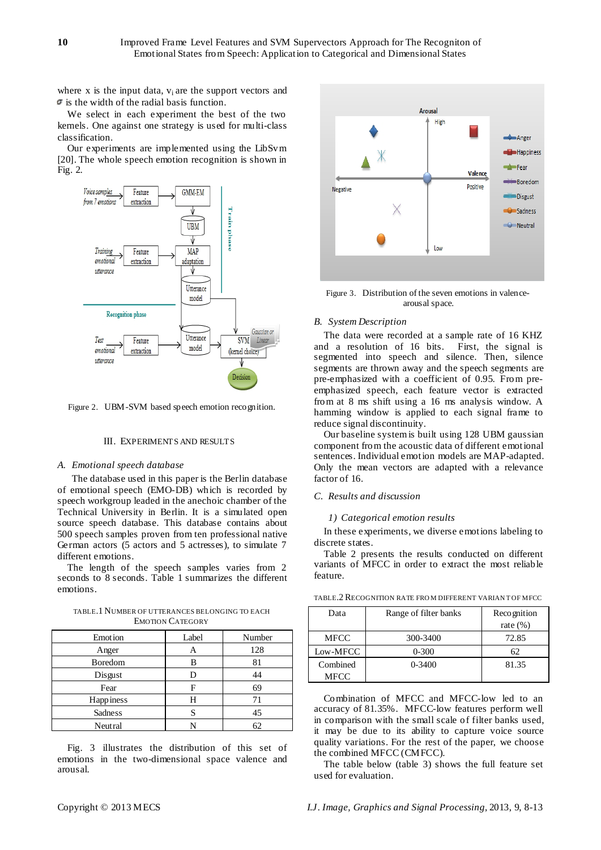where x is the input data,  $v_i$  are the support vectors and  $\mathcal{F}$  is the width of the radial basis function.

We select in each experiment the best of the two kernels. One against one strategy is used for multi-class classification.

Our experiments are implemented using the LibSvm [20]. The whole speech emotion recognition is shown in Fig. 2.



Figure 2. UBM-SVM based speech emotion recognition.

## III. EXPERIMENTS AND RESULTS

### *A. Emotional speech database*

The database used in this paper is the Berlin database of emotional speech (EMO-DB) which is recorded by speech workgroup leaded in the anechoic chamber of the Technical University in Berlin. It is a simulated open source speech database. This database contains about 500 speech samples proven from ten professional native German actors (5 actors and 5 actresses), to simulate 7 different emotions.

The length of the speech samples varies from 2 seconds to 8 seconds. Table 1 summarizes the different emotions.

TABLE.1 NUMBER OF UTTERANCES BELONGING TO EACH EMOTION CATEGORY

| Emotion          | Label | Number |
|------------------|-------|--------|
| Anger            |       | 128    |
| Boredom          | в     | 81     |
| Disgust          |       |        |
| Fear             | F     | 69     |
| <b>Happiness</b> | Н     |        |
| Sadness          |       | 45     |
| Neutral          |       |        |

Fig. 3 illustrates the distribution of this set of emotions in the two-dimensional space valence and arousal.



Figure 3. Distribution of the seven emotions in valencearousal space.

#### *B. System Description*

The data were recorded at a sample rate of 16 KHZ and a resolution of 16 bits. First, the signal is segmented into speech and silence. Then, silence segments are thrown away and the speech segments are pre-emphasized with a coefficient of 0.95. From preemphasized speech, each feature vector is extracted from at 8 ms shift using a 16 ms analysis window. A hamming window is applied to each signal frame to reduce signal discontinuity.

Our baseline system is built using 128 UBM gaussian component from the acoustic data of different emotional sentences. Individual emotion models are MAP-adapted. Only the mean vectors are adapted with a relevance factor of 16.

# *C. Results and discussion*

#### *1) Categorical emotion results*

In these experiments, we diverse emotions labeling to discrete states.

Table 2 presents the results conducted on different variants of MFCC in order to extract the most reliable feature.

| Data        | Range of filter banks | Recognition |  |
|-------------|-----------------------|-------------|--|
|             |                       | rate $(\%)$ |  |
| <b>MFCC</b> | 300-3400              | 72.85       |  |
| Low-MFCC    | $0 - 300$             | 62          |  |
| Combined    | $0 - 3400$            | 81.35       |  |
| <b>MFCC</b> |                       |             |  |

TABLE.2RECOGNITION RATE FRO M DIFFERENT VARIAN T OF MFCC

Combination of MFCC and MFCC-low led to an accuracy of 81.35%. MFCC-low features perform well in comparison with the small scale of filter banks used, it may be due to its ability to capture voice source quality variations. For the rest of the paper, we choose the combined MFCC (CMFCC).

The table below (table 3) shows the full feature set used for evaluation.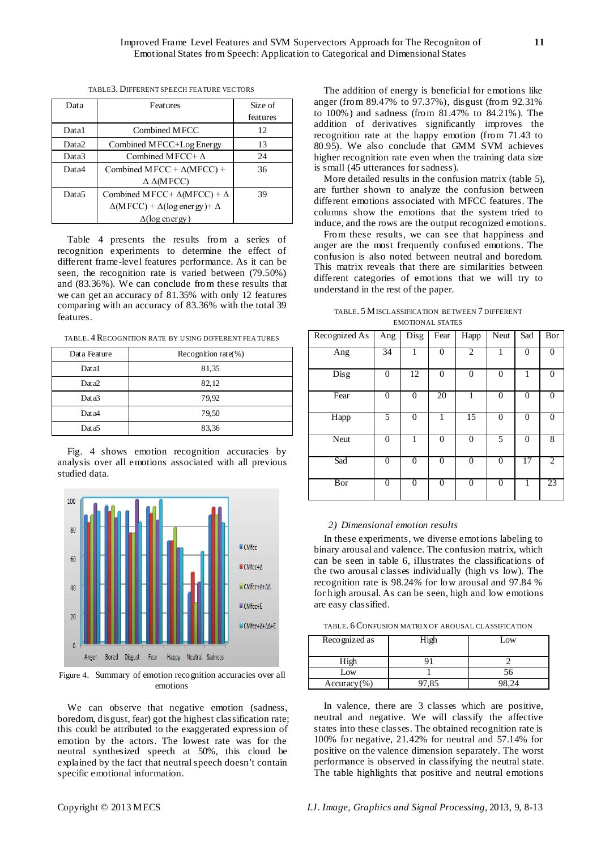| Data              | Features                                             | Size of  |
|-------------------|------------------------------------------------------|----------|
|                   |                                                      | features |
| Data1             | Combined MFCC                                        | 12       |
| Data2             | Combined MFCC+Log Energy                             | 13       |
| Data3             | Combined MFCC+ $\Delta$                              | 24       |
| Data4             | Combined MFCC + $\Delta$ (MFCC) +                    | 36       |
|                   | $\Delta \Delta(MFCC)$                                |          |
| Data <sub>5</sub> | Combined MFCC+ $\Delta$ (MFCC) + $\Delta$            | 39       |
|                   | $\Delta(MFCC) + \Delta(\log \text{energy}) + \Delta$ |          |
|                   | $\Delta(\log \text{energy})$                         |          |

TABLE3. DIFFERENT SPEECH FEATURE VECTORS

Table 4 presents the results from a series of recognition experiments to determine the effect of different frame-level features performance. As it can be seen, the recognition rate is varied between (79.50%) and (83.36%). We can conclude from these results that we can get an accuracy of 81.35% with only 12 features comparing with an accuracy of 83.36% with the total 39 features.

TABLE. 4RECOGNITION RATE BY USING DIFFERENT FEA TURES

| Data Feature | Recognition rate(%) |  |
|--------------|---------------------|--|
| Datal        | 81,35               |  |
| Dat a2       | 82,12               |  |
| Dat a3       | 79,92               |  |
| Dat a4       | 79,50               |  |
| Dat a5       | 83,36               |  |

Fig. 4 shows emotion recognition accuracies by analysis over all emotions associated with all previous studied data.



Figure 4. Summary of emotion recognition accuracies over all emotions

We can observe that negative emotion (sadness, boredom, disgust, fear) got the highest classification rate; this could be attributed to the exaggerated expression of emotion by the actors. The lowest rate was for the neutral synthesized speech at 50%, this cloud be explained by the fact that neutral speech doesn't contain specific emotional information.

The addition of energy is beneficial for emotions like anger (from 89.47% to 97.37%), disgust (from 92.31% to 100%) and sadness (from 81.47% to 84.21%). The addition of derivatives significantly improves the recognition rate at the happy emotion (from 71.43 to 80.95). We also conclude that GMM SVM achieves higher recognition rate even when the training data size is small (45 utterances for sadness).

More detailed results in the confusion matrix (table 5), are further shown to analyze the confusion between different emotions associated with MFCC features. The columns show the emotions that the system tried to induce, and the rows are the output recognized emotions.

From these results, we can see that happiness and anger are the most frequently confused emotions. The confusion is also noted between neutral and boredom. This matrix reveals that there are similarities between different categories of emotions that we will try to understand in the rest of the paper.

TABLE. 5 MISCLASSIFICATION BE TWEEN 7 DIFFERENT EMOTIONAL STATES

| Recognized As | Ang          | Disg             | Fear         | Happ           | Neut     | Sad            | Bor            |
|---------------|--------------|------------------|--------------|----------------|----------|----------------|----------------|
| Ang           | 34           | 1                | $\Omega$     | $\overline{2}$ | 1        | $\theta$       | $\Omega$       |
| Disg          | $\mathbf{0}$ | 12               | $\mathbf{0}$ | $\overline{0}$ | $\theta$ | 1              | 0              |
| Fear          | $\theta$     | $\boldsymbol{0}$ | 20           | 1              | $\theta$ | $\overline{0}$ | 0              |
| Happ          | 5            | $\boldsymbol{0}$ |              | 15             | $\Omega$ | $\Omega$       | $\Omega$       |
| Neut          | $\Omega$     | 1                | $\theta$     | $\overline{0}$ | 5        | $\theta$       | 8              |
| Sad           | $\Omega$     | $\Omega$         | $\theta$     | $\overline{0}$ | $\theta$ | 17             | $\overline{c}$ |
| Bor           | $\Omega$     | $\Omega$         | $\Omega$     | $\overline{0}$ | $\theta$ | 1              | 23             |

#### *2) Dimensional emotion results*

In these experiments, we diverse emotions labeling to binary arousal and valence. The confusion matrix, which can be seen in table 6, illustrates the classifications of the two arousal classes individually (high vs low). The recognition rate is 98.24*%* for low arousal and 97.84 % for high arousal. As can be seen, high and low emotions are easy classified.

| TABLE, 6 CONFUSION MATRIX OF AROUSAL CLASSIFICATION |  |  |
|-----------------------------------------------------|--|--|
|-----------------------------------------------------|--|--|

| Recognized as  | .1gh | Low |
|----------------|------|-----|
| High           |      |     |
| $_{\text{OW}}$ |      |     |
| $Accuracy$ (%) |      |     |

In valence, there are 3 classes which are positive, neutral and negative. We will classify the affective states into these classes. The obtained recognition rate is 100% for negative, 21.42% for neutral and 57.14% for positive on the valence dimension separately. The worst performance is observed in classifying the neutral state. The table highlights that positive and neutral emotions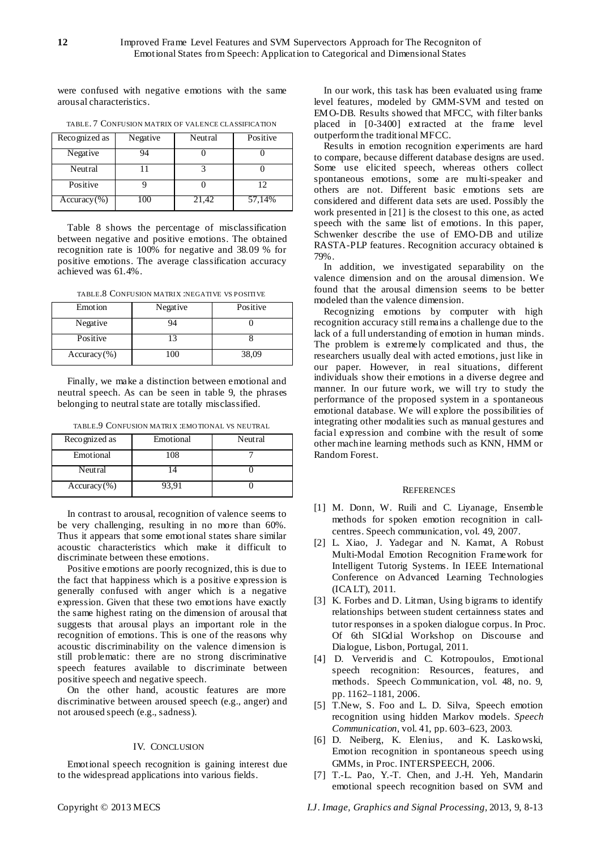were confused with negative emotions with the same arousal characteristics.

| Recognized as  | Negative | Neutral | Positive |
|----------------|----------|---------|----------|
| Negative       |          |         |          |
| Neutral        |          |         |          |
| Positive       |          |         | 12       |
| $Accuracy$ (%) | 100      | 21,42   | 57,14%   |

TABLE. 7 CONFUSION MATRIX OF VALENCE CLASSIFICATION

Table 8 shows the percentage of misclassification between negative and positive emotions. The obtained recognition rate is 100% for negative and 38.09 % for positive emotions. The average classification accuracy achieved was 61.4%.

TABLE.8 CONFUSION MATRIX :NEGATIVE VS POSITIVE

| Emotion        | Negative | Positive |
|----------------|----------|----------|
| Negative       | 14       |          |
| Positive       | 2        |          |
| $Accuracy$ (%) | 100      | 38,09    |

Finally, we make a distinction between emotional and neutral speech. As can be seen in table 9, the phrases belonging to neutral state are totally misclassified.

| Recognized as  | Emotional | Neutral |
|----------------|-----------|---------|
| Emotional      | 108       |         |
| Neutral        |           |         |
| $Accuracy$ (%) | 93.91     |         |

TABLE.9 CONFUSION MATRIX :EMO TIONAL VS NEUTRAL

In contrast to arousal, recognition of valence seems to be very challenging, resulting in no more than 60%. Thus it appears that some emotional states share similar acoustic characteristics which make it difficult to discriminate between these emotions.

Positive emotions are poorly recognized, this is due to the fact that happiness which is a positive expression is generally confused with anger which is a negative expression. Given that these two emotions have exactly the same highest rating on the dimension of arousal that suggests that arousal plays an important role in the recognition of emotions. This is one of the reasons why acoustic discriminability on the valence dimension is still problematic: there are no strong discriminative speech features available to discriminate between positive speech and negative speech.

On the other hand, acoustic features are more discriminative between aroused speech (e.g., anger) and not aroused speech (e.g., sadness).

## IV. CONCLUSION

Emotional speech recognition is gaining interest due to the widespread applications into various fields.

In our work, this task has been evaluated using frame level features, modeled by GMM-SVM and tested on EMO-DB. Results showed that MFCC, with filter banks placed in [0-3400] extracted at the frame level outperform the traditional MFCC.

Results in emotion recognition experiments are hard to compare, because different database designs are used. Some use elicited speech, whereas others collect spontaneous emotions, some are multi-speaker and others are not. Different basic emotions sets are considered and different data sets are used. Possibly the work presented in [21] is the closest to this one, as acted speech with the same list of emotions. In this paper, Schwenker describe the use of EMO-DB and utilize RASTA-PLP features. Recognition accuracy obtained is 79%.

In addition, we investigated separability on the valence dimension and on the arousal dimension. We found that the arousal dimension seems to be better modeled than the valence dimension.

Recognizing emotions by computer with high recognition accuracy still remains a challenge due to the lack of a full understanding of emotion in human minds. The problem is extremely complicated and thus, the researchers usually deal with acted emotions, just like in our paper. However, in real situations, different individuals show their emotions in a diverse degree and manner. In our future work, we will try to study the performance of the proposed system in a spontaneous emotional database. We will explore the possibilities of integrating other modalities such as manual gestures and facial expression and combine with the result of some other machine learning methods such as KNN, HMM or Random Forest.

#### **REFERENCES**

- [1] M. Donn, W. Ruili and C. Liyanage, Ensemble methods for spoken emotion recognition in callcentres. Speech communication, vol. 49, 2007.
- [2] L. Xiao, J. Yadegar and N. Kamat, A Robust Multi-Modal Emotion Recognition Framework for Intelligent Tutorig Systems. In IEEE International Conference on [Advanced Learning Technologies](http://ieeexplore.ieee.org/xpl/mostRecentIssue.jsp?punumber=5991609)  [\(ICALT\),](http://ieeexplore.ieee.org/xpl/mostRecentIssue.jsp?punumber=5991609) 2011.
- [3] K. Forbes and D. Litman, Using bigrams to identify relationships between student certainness states and tutor responses in a spoken dialogue corpus. In Proc. Of 6th SIGdial Workshop on Discourse and Dialogue, Lisbon, Portugal, 2011.
- [4] D. Ververidis and C. Kotropoulos, Emotional speech recognition: Resources, features, and methods. Speech Communication, vol. 48, no. 9, pp. 1162–1181, 2006.
- [5] T.New, S. Foo and L. D. Silva, Speech emotion recognition using hidden Markov models. *Speech Communication*, vol. 41, pp. 603–623, 2003.
- [6] D. Neiberg, K. Elenius, and K. Laskowski, Emotion recognition in spontaneous speech using GMMs, in Proc. INTERSPEECH, 2006.
- [7] T.-L. Pao, Y.-T. Chen, and J.-H. Yeh, Mandarin emotional speech recognition based on SVM and

Copyright © 2013 MECS *I.J. Image, Graphics and Signal Processing,* 2013, 9, 8-13